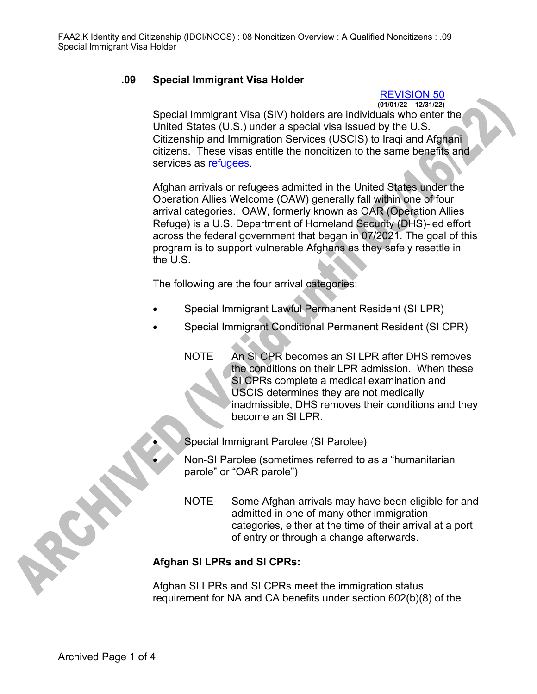## **.09 Special Immigrant Visa Holder**

## REVISION 50

**(01/01/22 – 12/31/22)**

Special Immigrant Visa (SIV) holders are individuals who enter the United States (U.S.) under a special visa issued by the U.S. Citizenship and Immigration Services (USCIS) to Iraqi and Afghani citizens. These visas entitle the noncitizen to the same benefits and services as refugees.

Afghan arrivals or refugees admitted in the United States under the Operation Allies Welcome (OAW) generally fall within one of four arrival categories. OAW, formerly known as OAR (Operation Allies Refuge) is a U.S. Department of Homeland Security (DHS)-led effort across the federal government that began in 07/2021. The goal of this program is to support vulnerable Afghans as they safely resettle in the U.S.

The following are the four arrival categories:

- Special Immigrant Lawful Permanent Resident (SI LPR)
- Special Immigrant Conditional Permanent Resident (SI CPR)
	- NOTE An SI CPR becomes an SI LPR after DHS removes the conditions on their LPR admission. When these SI CPRs complete a medical examination and USCIS determines they are not medically inadmissible, DHS removes their conditions and they become an SI LPR.

• Special Immigrant Parolee (SI Parolee)

- Non-SI Parolee (sometimes referred to as a "humanitarian parole" or "OAR parole")
- NOTE Some Afghan arrivals may have been eligible for and admitted in one of many other immigration categories, either at the time of their arrival at a port of entry or through a change afterwards.

## **Afghan SI LPRs and SI CPRs:**

Afghan SI LPRs and SI CPRs meet the immigration status requirement for NA and CA benefits under section 602(b)(8) of the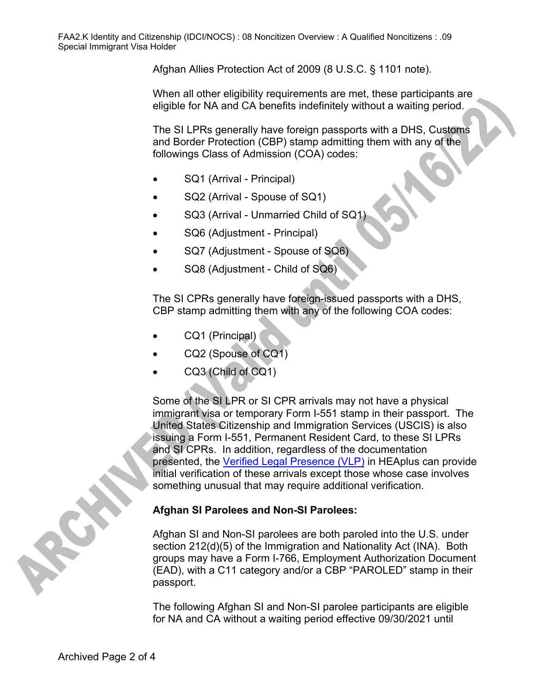Afghan Allies Protection Act of 2009 (8 U.S.C. § 1101 note).

When all other eligibility requirements are met, these participants are eligible for NA and CA benefits indefinitely without a waiting period.

The SI LPRs generally have foreign passports with a DHS, Customs and Border Protection (CBP) stamp admitting them with any of the followings Class of Admission (COA) codes:

- SQ1 (Arrival Principal)
- SQ2 (Arrival Spouse of SQ1)
- SQ3 (Arrival Unmarried Child of SQ1)
- SQ6 (Adjustment Principal)
- SQ7 (Adjustment Spouse of SQ6)
- SQ8 (Adjustment Child of SQ6)

The SI CPRs generally have foreign-issued passports with a DHS, CBP stamp admitting them with any of the following COA codes:

- CQ1 (Principal)
- CQ2 (Spouse of CQ1)
- CQ3 (Child of CQ1)

Some of the SI LPR or SI CPR arrivals may not have a physical immigrant visa or temporary Form I-551 stamp in their passport. The United States Citizenship and Immigration Services (USCIS) is also issuing a Form I-551, Permanent Resident Card, to these SI LPRs and SI CPRs. In addition, regardless of the documentation presented, the Verified Legal Presence (VLP) in HEAplus can provide initial verification of these arrivals except those whose case involves something unusual that may require additional verification.

## **Afghan SI Parolees and Non-SI Parolees:**

Afghan SI and Non-SI parolees are both paroled into the U.S. under section 212(d)(5) of the Immigration and Nationality Act (INA). Both groups may have a Form I-766, Employment Authorization Document (EAD), with a C11 category and/or a CBP "PAROLED" stamp in their passport.

The following Afghan SI and Non-SI parolee participants are eligible for NA and CA without a waiting period effective 09/30/2021 until

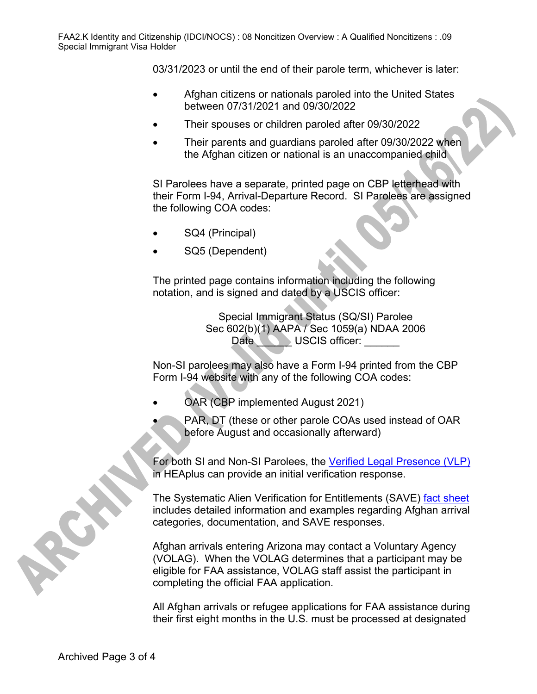03/31/2023 or until the end of their parole term, whichever is later:

- Afghan citizens or nationals paroled into the United States between 07/31/2021 and 09/30/2022
- Their spouses or children paroled after 09/30/2022
- Their parents and guardians paroled after 09/30/2022 when the Afghan citizen or national is an unaccompanied child

SI Parolees have a separate, printed page on CBP letterhead with their Form I-94, Arrival-Departure Record. SI Parolees are assigned the following COA codes:

- SQ4 (Principal)
- SQ5 (Dependent)

The printed page contains information including the following notation, and is signed and dated by a USCIS officer:

> Special Immigrant Status (SQ/SI) Parolee Sec 602(b)(1) AAPA / Sec 1059(a) NDAA 2006 Date **Department USCIS** officer:

Non-SI parolees may also have a Form I-94 printed from the CBP Form I-94 website with any of the following COA codes:

- OAR (CBP implemented August 2021)
	- PAR, DT (these or other parole COAs used instead of OAR before August and occasionally afterward)

For both SI and Non-SI Parolees, the [Verified Legal Presence \(VLP\)](file://nas02/dbmeadmin$/Policy%20Share/FAA%20Manual%20Conversion/FAAPolicyManual(Development)/VOL2%20converted/2.K_IDCI.docx#VerificationInformationSystemVIS) in HEAplus can provide an initial verification response.

The Systematic Alien Verification for Entitlements (SAVE) fact sheet includes detailed information and examples regarding Afghan arrival categories, documentation, and SAVE responses.

Afghan arrivals entering Arizona may contact a Voluntary Agency (VOLAG). When the VOLAG determines that a participant may be eligible for FAA assistance, VOLAG staff assist the participant in completing the official FAA application.

All Afghan arrivals or refugee applications for FAA assistance during their first eight months in the U.S. must be processed at designated

Archived Page 3 of 4